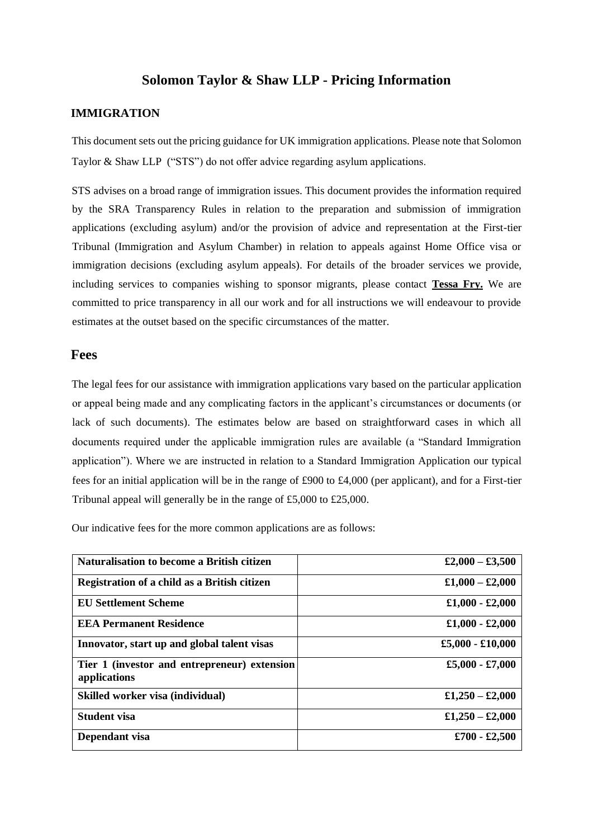#### **Solomon Taylor & Shaw LLP - Pricing Information**

#### **IMMIGRATION**

This document sets out the pricing guidance for UK immigration applications. Please note that Solomon Taylor & Shaw LLP ("STS") do not offer advice regarding asylum applications.

STS advises on a broad range of immigration issues. This document provides the information required by the SRA Transparency Rules in relation to the preparation and submission of immigration applications (excluding asylum) and/or the provision of advice and representation at the First-tier Tribunal (Immigration and Asylum Chamber) in relation to appeals against Home Office visa or immigration decisions (excluding asylum appeals). For details of the broader services we provide, including services to companies wishing to sponsor migrants, please contact **Tessa Fry.** We are committed to price transparency in all our work and for all instructions we will endeavour to provide estimates at the outset based on the specific circumstances of the matter.

#### **Fees**

The legal fees for our assistance with immigration applications vary based on the particular application or appeal being made and any complicating factors in the applicant's circumstances or documents (or lack of such documents). The estimates below are based on straightforward cases in which all documents required under the applicable immigration rules are available (a "Standard Immigration application"). Where we are instructed in relation to a Standard Immigration Application our typical fees for an initial application will be in the range of £900 to £4,000 (per applicant), and for a First-tier Tribunal appeal will generally be in the range of £5,000 to £25,000.

Our indicative fees for the more common applications are as follows:

| <b>Naturalisation to become a British citizen</b>            | £2,000 - £3,500    |
|--------------------------------------------------------------|--------------------|
| Registration of a child as a British citizen                 | $£1,000 - £2,000$  |
| <b>EU Settlement Scheme</b>                                  | $£1,000 - £2,000$  |
| <b>EEA Permanent Residence</b>                               | $£1,000 - £2,000$  |
| Innovator, start up and global talent visas                  | $£5,000 - £10,000$ |
| Tier 1 (investor and entrepreneur) extension<br>applications | £5,000 - £7,000    |
| Skilled worker visa (individual)                             | £1,250 - £2,000    |
| <b>Student visa</b>                                          | £1,250 - £2,000    |
| Dependant visa                                               | $£700 - £2,500$    |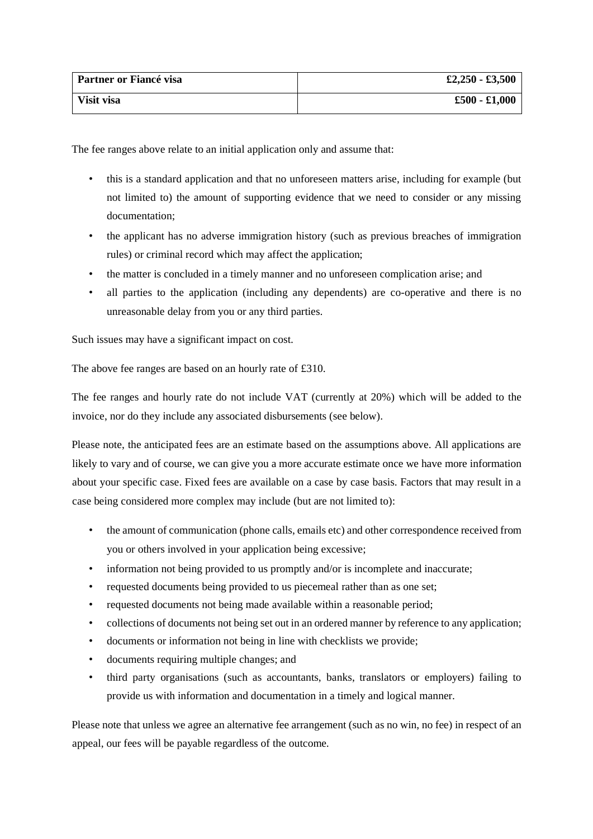| Partner or Fiancé visa | $£2,250 - £3,500$ |
|------------------------|-------------------|
| Visit visa             | $£500 - £1,000$   |

The fee ranges above relate to an initial application only and assume that:

- this is a standard application and that no unforeseen matters arise, including for example (but not limited to) the amount of supporting evidence that we need to consider or any missing documentation;
- the applicant has no adverse immigration history (such as previous breaches of immigration rules) or criminal record which may affect the application;
- the matter is concluded in a timely manner and no unforeseen complication arise; and
- all parties to the application (including any dependents) are co-operative and there is no unreasonable delay from you or any third parties.

Such issues may have a significant impact on cost.

The above fee ranges are based on an hourly rate of £310.

The fee ranges and hourly rate do not include VAT (currently at 20%) which will be added to the invoice, nor do they include any associated disbursements (see below).

Please note, the anticipated fees are an estimate based on the assumptions above. All applications are likely to vary and of course, we can give you a more accurate estimate once we have more information about your specific case. Fixed fees are available on a case by case basis. Factors that may result in a case being considered more complex may include (but are not limited to):

- the amount of communication (phone calls, emails etc) and other correspondence received from you or others involved in your application being excessive;
- information not being provided to us promptly and/or is incomplete and inaccurate;
- requested documents being provided to us piecemeal rather than as one set:
- requested documents not being made available within a reasonable period;
- collections of documents not being set out in an ordered manner by reference to any application;
- documents or information not being in line with checklists we provide;
- documents requiring multiple changes; and
- third party organisations (such as accountants, banks, translators or employers) failing to provide us with information and documentation in a timely and logical manner.

Please note that unless we agree an alternative fee arrangement (such as no win, no fee) in respect of an appeal, our fees will be payable regardless of the outcome.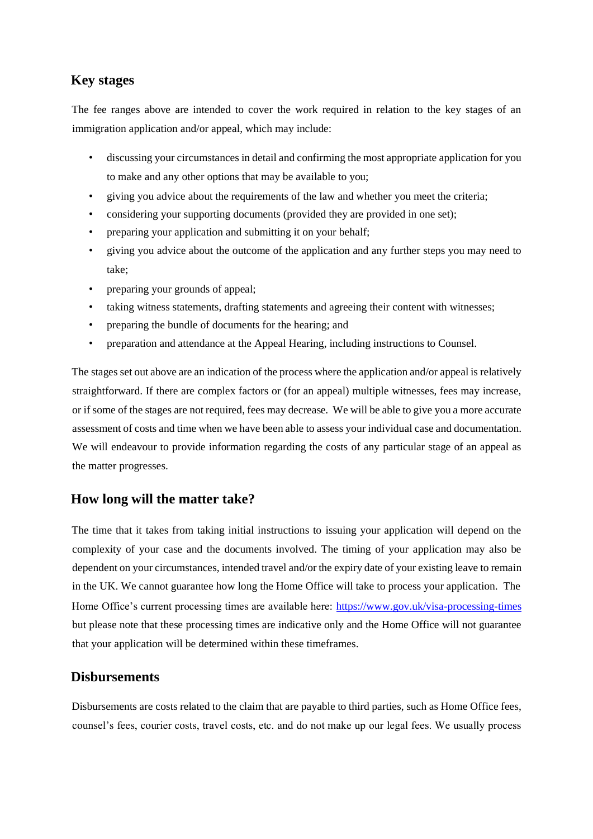## **Key stages**

The fee ranges above are intended to cover the work required in relation to the key stages of an immigration application and/or appeal, which may include:

- discussing your circumstances in detail and confirming the most appropriate application for you to make and any other options that may be available to you;
- giving you advice about the requirements of the law and whether you meet the criteria;
- considering your supporting documents (provided they are provided in one set);
- preparing your application and submitting it on your behalf;
- giving you advice about the outcome of the application and any further steps you may need to take;
- preparing your grounds of appeal;
- taking witness statements, drafting statements and agreeing their content with witnesses;
- preparing the bundle of documents for the hearing; and
- preparation and attendance at the Appeal Hearing, including instructions to Counsel.

The stages set out above are an indication of the process where the application and/or appeal is relatively straightforward. If there are complex factors or (for an appeal) multiple witnesses, fees may increase, or if some of the stages are not required, fees may decrease. We will be able to give you a more accurate assessment of costs and time when we have been able to assess your individual case and documentation. We will endeavour to provide information regarding the costs of any particular stage of an appeal as the matter progresses.

### **How long will the matter take?**

The time that it takes from taking initial instructions to issuing your application will depend on the complexity of your case and the documents involved. The timing of your application may also be dependent on your circumstances, intended travel and/or the expiry date of your existing leave to remain in the UK. We cannot guarantee how long the Home Office will take to process your application. The Home Office's current processing times are available here:<https://www.gov.uk/visa-processing-times> but please note that these processing times are indicative only and the Home Office will not guarantee that your application will be determined within these timeframes.

#### **Disbursements**

Disbursements are costs related to the claim that are payable to third parties, such as Home Office fees, counsel's fees, courier costs, travel costs, etc. and do not make up our legal fees. We usually process